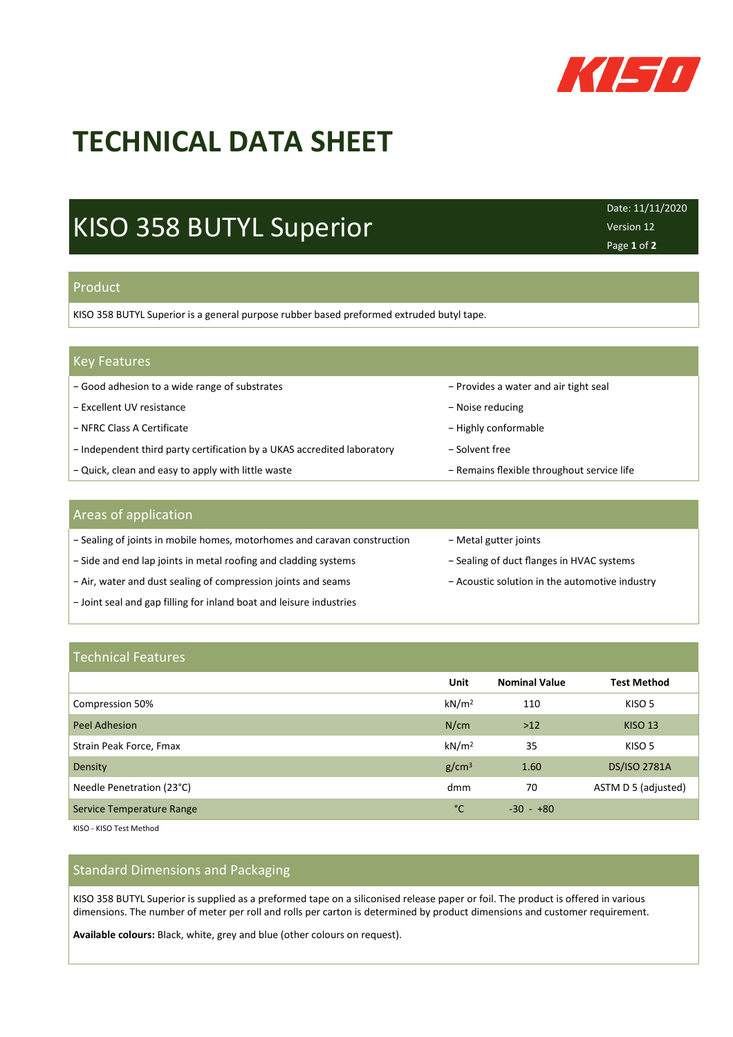

# **TECHNICAL DATA SHEET**

## KISO 358 BUTYL Superior

Date: 11/11/2020 Version 12 Page **1** of **2**

### Product

KISO 358 BUTYL Superior is a general purpose rubber based preformed extruded butyl tape.

| <b>Key Features</b> |
|---------------------|
|---------------------|

- − Good adhesion to a wide range of substrates − Provides a water and air tight seal
- − Excellent UV resistance − Noise reducing
- − NFRC Class A Certificate − Highly conformable − Highly conformable
- − Independent third party certification by a UKAS accredited laboratory − Solvent free
- − Quick, clean and easy to apply with little waste − Remains flexible throughout service life

### Areas of application

- − Sealing of joints in mobile homes, motorhomes and caravan construction − Metal gutter joints
- − Side and end lap joints in metal roofing and cladding systems − Sealing of duct flanges in HVAC systems
- − Air, water and dust sealing of compression joints and seams − Acoustic solution in the automotive industry
- − Joint seal and gap filling for inland boat and leisure industries
- 
- 
- 
- 

### Technical Features

|                           | Unit              | <b>Nominal Value</b> | <b>Test Method</b>  |
|---------------------------|-------------------|----------------------|---------------------|
| Compression 50%           | kN/m <sup>2</sup> | 110                  | KISO 5              |
| Peel Adhesion             | N/cm              | $>12$                | <b>KISO 13</b>      |
| Strain Peak Force, Fmax   | kN/m <sup>2</sup> | 35                   | KISO 5              |
| Density                   | g/cm <sup>3</sup> | 1.60                 | <b>DS/ISO 2781A</b> |
| Needle Penetration (23°C) | dmm               | 70                   | ASTM D 5 (adjusted) |
| Service Temperature Range | °C                | $-30 - +80$          |                     |

KISO - KISO Test Method

### Standard Dimensions and Packaging

KISO 358 BUTYL Superior is supplied as a preformed tape on a siliconised release paper or foil. The product is offered in various dimensions. The number of meter per roll and rolls per carton is determined by product dimensions and customer requirement.

**Available colours:** Black, white, grey and blue (other colours on request).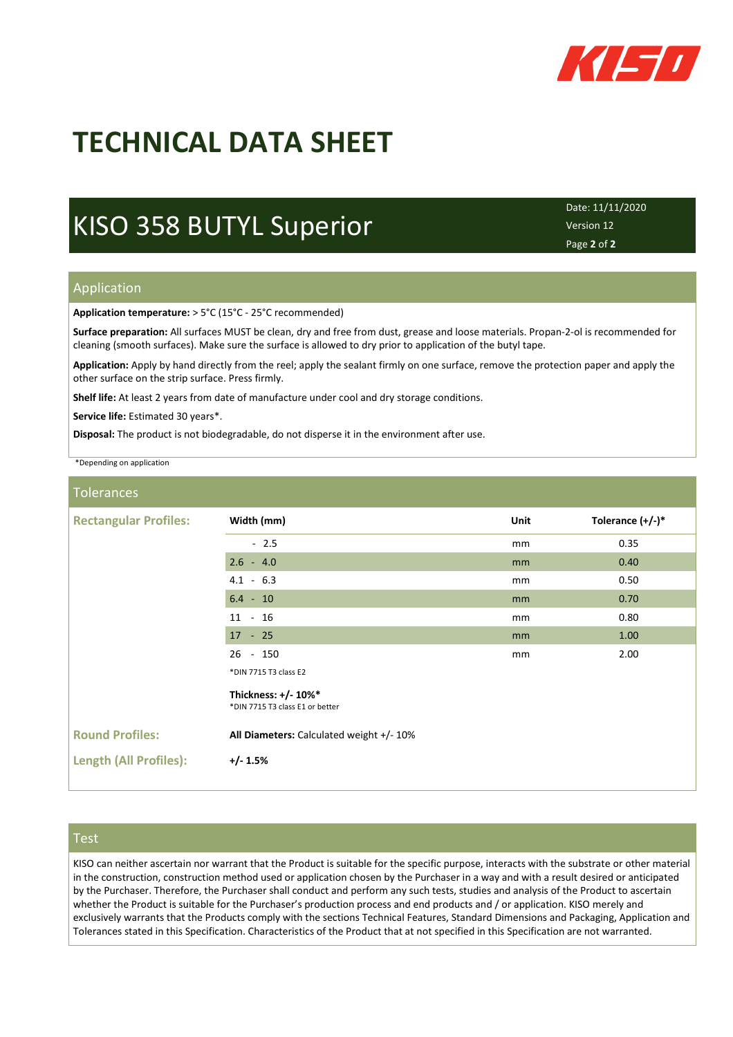

# **TECHNICAL DATA SHEET**

### KISO 358 BUTYL Superior

Date: 11/11/2020 Version 12 Page **2** of **2**

### Application

**Application temperature:** > 5°C (15°C - 25°C recommended)

**Surface preparation:** All surfaces MUST be clean, dry and free from dust, grease and loose materials. Propan-2-ol is recommended for cleaning (smooth surfaces). Make sure the surface is allowed to dry prior to application of the butyl tape.

**Application:** Apply by hand directly from the reel; apply the sealant firmly on one surface, remove the protection paper and apply the other surface on the strip surface. Press firmly.

**Shelf life:** At least 2 years from date of manufacture under cool and dry storage conditions.

**Service life:** Estimated 30 years\*.

**Disposal:** The product is not biodegradable, do not disperse it in the environment after use.

\*Depending on application

#### Tolerances

| <b>Rectangular Profiles:</b>  | Width (mm)                                             | Unit | Tolerance $(+/-)^*$ |
|-------------------------------|--------------------------------------------------------|------|---------------------|
|                               | $-2.5$                                                 | mm   | 0.35                |
|                               | $2.6 - 4.0$                                            | mm   | 0.40                |
|                               | $4.1 - 6.3$                                            | mm   | 0.50                |
|                               | $6.4 - 10$                                             | mm   | 0.70                |
|                               | $11 - 16$                                              | mm   | 0.80                |
|                               | $17 - 25$                                              | mm   | 1.00                |
|                               | $26 - 150$                                             | mm   | 2.00                |
|                               | *DIN 7715 T3 class E2                                  |      |                     |
|                               | Thickness: +/- 10%*<br>*DIN 7715 T3 class E1 or better |      |                     |
| <b>Round Profiles:</b>        | All Diameters: Calculated weight +/- 10%               |      |                     |
| <b>Length (All Profiles):</b> | $+/- 1.5%$                                             |      |                     |

### Test

KISO can neither ascertain nor warrant that the Product is suitable for the specific purpose, interacts with the substrate or other material in the construction, construction method used or application chosen by the Purchaser in a way and with a result desired or anticipated by the Purchaser. Therefore, the Purchaser shall conduct and perform any such tests, studies and analysis of the Product to ascertain whether the Product is suitable for the Purchaser's production process and end products and / or application. KISO merely and exclusively warrants that the Products comply with the sections Technical Features, Standard Dimensions and Packaging, Application and Tolerances stated in this Specification. Characteristics of the Product that at not specified in this Specification are not warranted.